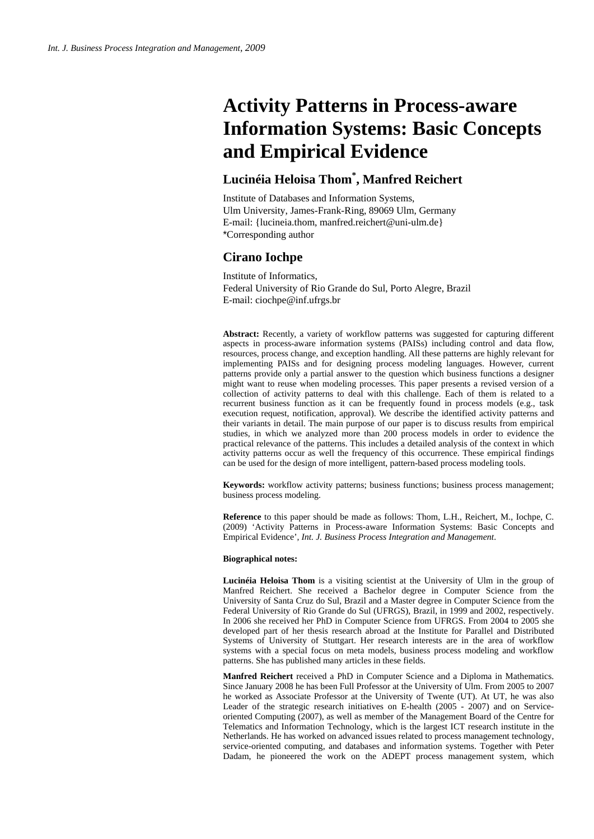# **Activity Patterns in Process-aware Information Systems: Basic Concepts and Empirical Evidence**

## **Lucinéia Heloisa Thom\* , Manfred Reichert**

Institute of Databases and Information Systems, Ulm University, James-Frank-Ring, 89069 Ulm, Germany E-mail: {lucineia.thom, manfred.reichert@uni-ulm.de} \*Corresponding author

## **Cirano Iochpe**

Institute of Informatics, Federal University of Rio Grande do Sul, Porto Alegre, Brazil E-mail: ciochpe@inf.ufrgs.br

**Abstract:** Recently, a variety of workflow patterns was suggested for capturing different aspects in process-aware information systems (PAISs) including control and data flow, resources, process change, and exception handling. All these patterns are highly relevant for implementing PAISs and for designing process modeling languages. However, current patterns provide only a partial answer to the question which business functions a designer might want to reuse when modeling processes. This paper presents a revised version of a collection of activity patterns to deal with this challenge. Each of them is related to a recurrent business function as it can be frequently found in process models (e.g., task execution request, notification, approval). We describe the identified activity patterns and their variants in detail. The main purpose of our paper is to discuss results from empirical studies, in which we analyzed more than 200 process models in order to evidence the practical relevance of the patterns. This includes a detailed analysis of the context in which activity patterns occur as well the frequency of this occurrence. These empirical findings can be used for the design of more intelligent, pattern-based process modeling tools.

**Keywords:** workflow activity patterns; business functions; business process management; business process modeling.

**Reference** to this paper should be made as follows: Thom, L.H., Reichert, M., Iochpe, C. (2009) 'Activity Patterns in Process-aware Information Systems: Basic Concepts and Empirical Evidence', *Int. J. Business Process Integration and Management*.

#### **Biographical notes:**

**Lucinéia Heloisa Thom** is a visiting scientist at the University of Ulm in the group of Manfred Reichert. She received a Bachelor degree in Computer Science from the University of Santa Cruz do Sul, Brazil and a Master degree in Computer Science from the Federal University of Rio Grande do Sul (UFRGS), Brazil, in 1999 and 2002, respectively. In 2006 she received her PhD in Computer Science from UFRGS. From 2004 to 2005 she developed part of her thesis research abroad at the Institute for Parallel and Distributed Systems of University of Stuttgart. Her research interests are in the area of workflow systems with a special focus on meta models, business process modeling and workflow patterns. She has published many articles in these fields.

**Manfred Reichert** received a PhD in Computer Science and a Diploma in Mathematics. Since January 2008 he has been Full Professor at the University of Ulm. From 2005 to 2007 he worked as Associate Professor at the University of Twente (UT). At UT, he was also Leader of the strategic research initiatives on E-health (2005 - 2007) and on Serviceoriented Computing (2007), as well as member of the Management Board of the Centre for Telematics and Information Technology, which is the largest ICT research institute in the Netherlands. He has worked on advanced issues related to process management technology, service-oriented computing, and databases and information systems. Together with Peter Dadam, he pioneered the work on the ADEPT process management system, which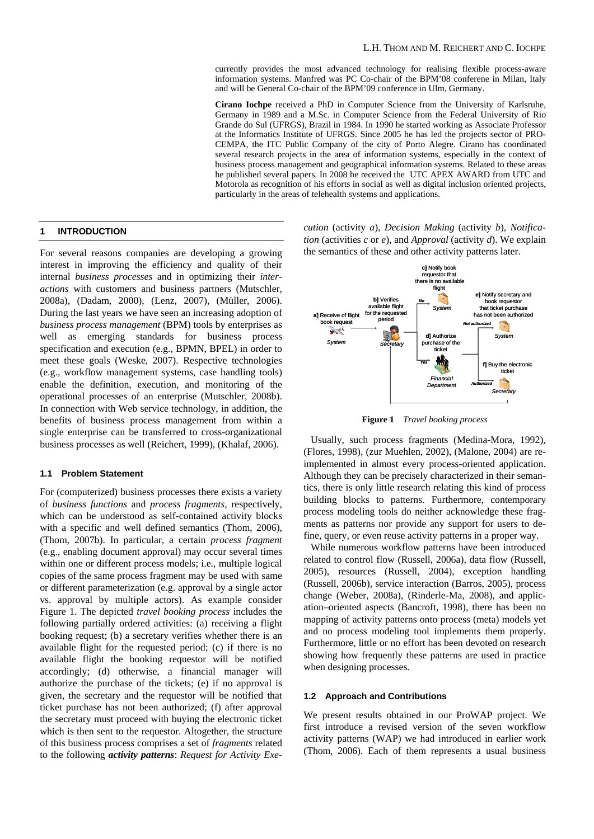currently provides the most advanced technology for realising flexible process-aware information systems. Manfred was PC Co-chair of the BPM'08 conferene in Milan, Italy and will be General Co-chair of the BPM'09 conference in Ulm, Germany.

**Cirano Iochpe** received a PhD in Computer Science from the University of Karlsruhe, Germany in 1989 and a M.Sc. in Computer Science from the Federal University of Rio Grande do Sul (UFRGS), Brazil in 1984. In 1990 he started working as Associate Professor at the Informatics Institute of UFRGS. Since 2005 he has led the projects sector of PRO-CEMPA, the ITC Public Company of the city of Porto Alegre. Cirano has coordinated several research projects in the area of information systems, especially in the context of business process management and geographical information systems. Related to these areas he published several papers. In 2008 he received the UTC APEX AWARD from UTC and Motorola as recognition of his efforts in social as well as digital inclusion oriented projects, particularly in the areas of telehealth systems and applications.

#### **1 INTRODUCTION**

For several reasons companies are developing a growing interest in improving the efficiency and quality of their internal *business processes* and in optimizing their *interactions* with customers and business partners (Mutschler, 2008a), (Dadam, 2000), (Lenz, 2007), (Müller, 2006). During the last years we have seen an increasing adoption of *business process management* (BPM) tools by enterprises as well as emerging standards for business process specification and execution (e.g., BPMN, BPEL) in order to meet these goals (Weske, 2007). Respective technologies (e.g., workflow management systems, case handling tools) enable the definition, execution, and monitoring of the operational processes of an enterprise (Mutschler, 2008b). In connection with Web service technology, in addition, the benefits of business process management from within a single enterprise can be transferred to cross-organizational business processes as well (Reichert, 1999), (Khalaf, 2006).

## **1.1 Problem Statement**

For (computerized) business processes there exists a variety of *business functions* and *process fragments*, respectively, which can be understood as self-contained activity blocks with a specific and well defined semantics (Thom, 2006), (Thom, 2007b). In particular, a certain *process fragment* (e.g., enabling document approval) may occur several times within one or different process models; i.e., multiple logical copies of the same process fragment may be used with same or different parameterization (e.g. approval by a single actor vs. approval by multiple actors). As example consider Figure 1. The depicted *travel booking process* includes the following partially ordered activities: (a) receiving a flight booking request; (b) a secretary verifies whether there is an available flight for the requested period; (c) if there is no available flight the booking requestor will be notified accordingly; (d) otherwise, a financial manager will authorize the purchase of the tickets; (e) if no approval is given, the secretary and the requestor will be notified that ticket purchase has not been authorized; (f) after approval the secretary must proceed with buying the electronic ticket which is then sent to the requestor. Altogether, the structure of this business process comprises a set of *fragments* related to the following *activity patterns*: *Request for Activity Exe-* *cution* (activity *a*), *Decision Making* (activity *b*), *Notification* (activities *c* or *e*), and *Approval* (activity *d*). We explain the semantics of these and other activity patterns later.



**Figure 1** *Travel booking process* 

Usually, such process fragments (Medina-Mora, 1992), (Flores, 1998), (zur Muehlen, 2002), (Malone, 2004) are reimplemented in almost every process-oriented application. Although they can be precisely characterized in their semantics, there is only little research relating this kind of process building blocks to patterns. Furthermore, contemporary process modeling tools do neither acknowledge these fragments as patterns nor provide any support for users to define, query, or even reuse activity patterns in a proper way.

While numerous workflow patterns have been introduced related to control flow (Russell, 2006a), data flow (Russell, 2005), resources (Russell, 2004), exception handling (Russell, 2006b), service interaction (Barros, 2005), process change (Weber, 2008a), (Rinderle-Ma, 2008), and application–oriented aspects (Bancroft, 1998), there has been no mapping of activity patterns onto process (meta) models yet and no process modeling tool implements them properly. Furthermore, little or no effort has been devoted on research showing how frequently these patterns are used in practice when designing processes.

#### **1.2 Approach and Contributions**

We present results obtained in our ProWAP project. We first introduce a revised version of the seven workflow activity patterns (WAP) we had introduced in earlier work (Thom, 2006). Each of them represents a usual business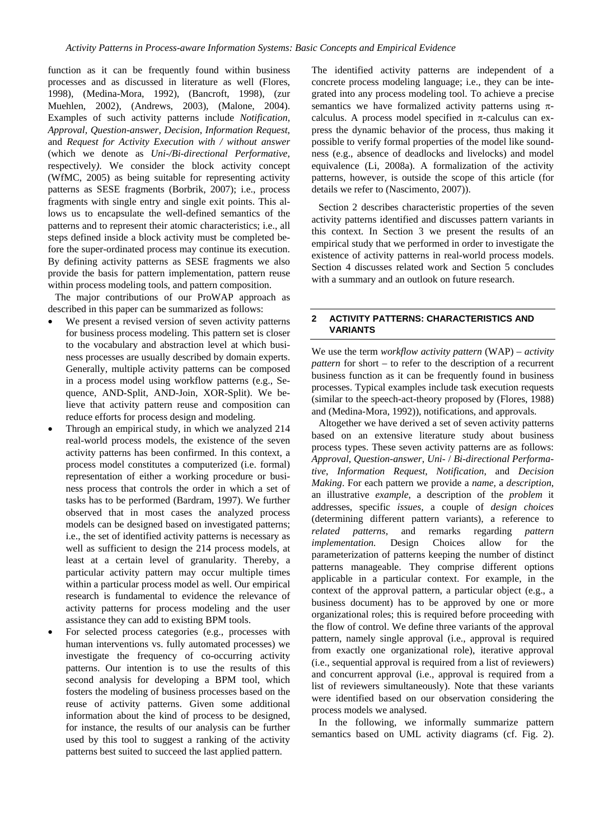function as it can be frequently found within business processes and as discussed in literature as well (Flores, 1998), (Medina-Mora, 1992), (Bancroft, 1998), (zur Muehlen, 2002), (Andrews, 2003), (Malone, 2004). Examples of such activity patterns include *Notification*, *Approval, Question-answer, Decision*, *Information Request*, and *Request for Activity Execution with / without answer*  (which we denote as *Uni-/Bi-directional Performative*, respectively*)*. We consider the block activity concept (WfMC, 2005) as being suitable for representing activity patterns as SESE fragments (Borbrik, 2007); i.e., process fragments with single entry and single exit points. This allows us to encapsulate the well-defined semantics of the patterns and to represent their atomic characteristics; i.e., all steps defined inside a block activity must be completed before the super-ordinated process may continue its execution. By defining activity patterns as SESE fragments we also provide the basis for pattern implementation, pattern reuse within process modeling tools, and pattern composition.

The major contributions of our ProWAP approach as described in this paper can be summarized as follows:

- We present a revised version of seven activity patterns for business process modeling. This pattern set is closer to the vocabulary and abstraction level at which business processes are usually described by domain experts. Generally, multiple activity patterns can be composed in a process model using workflow patterns (e.g., Sequence, AND-Split, AND-Join, XOR-Split). We believe that activity pattern reuse and composition can reduce efforts for process design and modeling.
- Through an empirical study, in which we analyzed 214 real-world process models, the existence of the seven activity patterns has been confirmed. In this context, a process model constitutes a computerized (i.e. formal) representation of either a working procedure or business process that controls the order in which a set of tasks has to be performed (Bardram, 1997). We further observed that in most cases the analyzed process models can be designed based on investigated patterns; i.e., the set of identified activity patterns is necessary as well as sufficient to design the 214 process models, at least at a certain level of granularity. Thereby, a particular activity pattern may occur multiple times within a particular process model as well. Our empirical research is fundamental to evidence the relevance of activity patterns for process modeling and the user assistance they can add to existing BPM tools.
- For selected process categories (e.g., processes with human interventions vs. fully automated processes) we investigate the frequency of co-occurring activity patterns. Our intention is to use the results of this second analysis for developing a BPM tool, which fosters the modeling of business processes based on the reuse of activity patterns. Given some additional information about the kind of process to be designed, for instance, the results of our analysis can be further used by this tool to suggest a ranking of the activity patterns best suited to succeed the last applied pattern.

The identified activity patterns are independent of a concrete process modeling language; i.e., they can be integrated into any process modeling tool. To achieve a precise semantics we have formalized activity patterns using  $\pi$ calculus. A process model specified in  $\pi$ -calculus can express the dynamic behavior of the process, thus making it possible to verify formal properties of the model like soundness (e.g., absence of deadlocks and livelocks) and model equivalence (Li, 2008a). A formalization of the activity patterns, however, is outside the scope of this article (for details we refer to (Nascimento, 2007)).

Section 2 describes characteristic properties of the seven activity patterns identified and discusses pattern variants in this context. In Section 3 we present the results of an empirical study that we performed in order to investigate the existence of activity patterns in real-world process models. Section 4 discusses related work and Section 5 concludes with a summary and an outlook on future research.

#### **2 ACTIVITY PATTERNS: CHARACTERISTICS AND VARIANTS**

We use the term *workflow activity pattern* (WAP) – *activity pattern* for short – to refer to the description of a recurrent business function as it can be frequently found in business processes. Typical examples include task execution requests (similar to the speech-act-theory proposed by (Flores, 1988) and (Medina-Mora, 1992)), notifications, and approvals.

Altogether we have derived a set of seven activity patterns based on an extensive literature study about business process types. These seven activity patterns are as follows: *Approval*, *Question-answer*, *Uni*- / *Bi-directional Performative*, *Information Request*, *Notification*, and *Decision Making*. For each pattern we provide a *name,* a *description*, an illustrative *example*, a description of the *problem* it addresses, specific *issues,* a couple of *design choices* (determining different pattern variants), a reference to *related patterns,* and remarks regarding *pattern implementation.* Design Choices allow for the parameterization of patterns keeping the number of distinct patterns manageable. They comprise different options applicable in a particular context. For example, in the context of the approval pattern, a particular object (e.g., a business document) has to be approved by one or more organizational roles; this is required before proceeding with the flow of control. We define three variants of the approval pattern, namely single approval (i.e., approval is required from exactly one organizational role), iterative approval (i.e., sequential approval is required from a list of reviewers) and concurrent approval (i.e., approval is required from a list of reviewers simultaneously). Note that these variants were identified based on our observation considering the process models we analysed.

In the following, we informally summarize pattern semantics based on UML activity diagrams (cf. Fig. 2).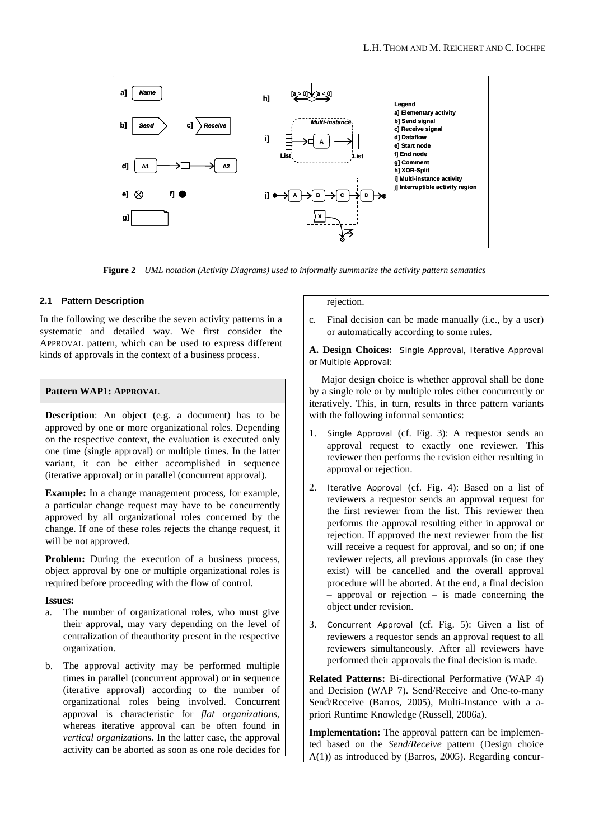

**Figure 2** *UML notation (Activity Diagrams) used to informally summarize the activity pattern semantics* 

## **2.1 Pattern Description**

In the following we describe the seven activity patterns in a systematic and detailed way. We first consider the APPROVAL pattern, which can be used to express different kinds of approvals in the context of a business process.

## **Pattern WAP1: APPROVAL**

**Description**: An object (e.g. a document) has to be approved by one or more organizational roles. Depending on the respective context, the evaluation is executed only one time (single approval) or multiple times. In the latter variant, it can be either accomplished in sequence (iterative approval) or in parallel (concurrent approval).

**Example:** In a change management process, for example, a particular change request may have to be concurrently approved by all organizational roles concerned by the change. If one of these roles rejects the change request, it will be not approved.

Problem: During the execution of a business process, object approval by one or multiple organizational roles is required before proceeding with the flow of control.

#### **Issues:**

- a. The number of organizational roles, who must give their approval, may vary depending on the level of centralization of theauthority present in the respective organization.
- b. The approval activity may be performed multiple times in parallel (concurrent approval) or in sequence (iterative approval) according to the number of organizational roles being involved. Concurrent approval is characteristic for *flat organizations,* whereas iterative approval can be often found in *vertical organizations*. In the latter case, the approval activity can be aborted as soon as one role decides for

rejection.

c. Final decision can be made manually (i.e., by a user) or automatically according to some rules.

**A. Design Choices:** Single Approval, Iterative Approval or Multiple Approval:

 Major design choice is whether approval shall be done by a single role or by multiple roles either concurrently or iteratively. This, in turn, results in three pattern variants with the following informal semantics:

- 1. *Single Approval* (cf. Fig. 3): A requestor sends an approval request to exactly one reviewer. This reviewer then performs the revision either resulting in approval or rejection.
- 2. *Iterative Approval* (cf. Fig. 4): Based on a list of reviewers a requestor sends an approval request for the first reviewer from the list. This reviewer then performs the approval resulting either in approval or rejection. If approved the next reviewer from the list will receive a request for approval, and so on; if one reviewer rejects, all previous approvals (in case they exist) will be cancelled and the overall approval procedure will be aborted. At the end, a final decision – approval or rejection – is made concerning the object under revision.
- 3. *Concurrent Approval* (cf. Fig. 5): Given a list of reviewers a requestor sends an approval request to all reviewers simultaneously. After all reviewers have performed their approvals the final decision is made.

**Related Patterns:** Bi-directional Performative (WAP 4) and Decision (WAP 7). Send/Receive and One-to-many Send/Receive (Barros, 2005), Multi-Instance with a apriori Runtime Knowledge (Russell, 2006a).

**Implementation:** The approval pattern can be implemented based on the *Send/Receive* pattern (Design choice A(1)) as introduced by (Barros, 2005). Regarding concur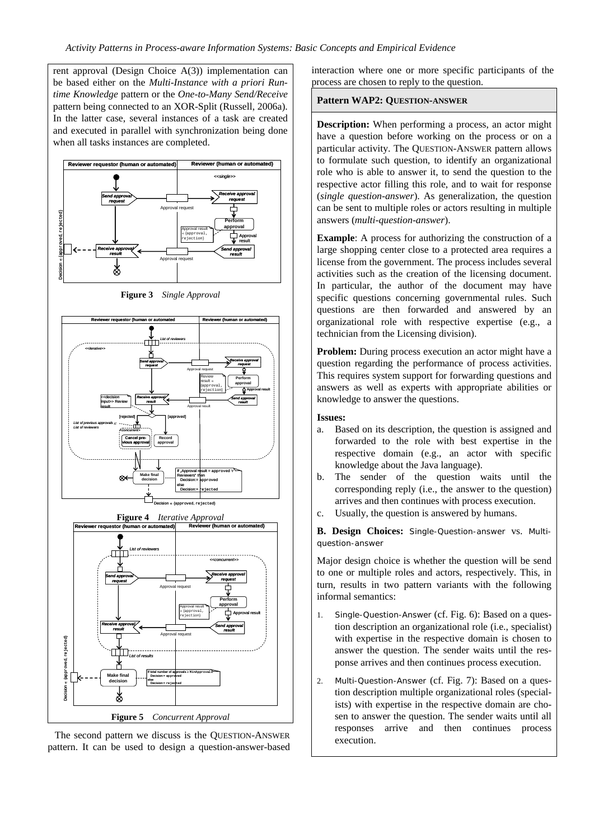rent approval (Design Choice A(3)) implementation can be based either on the *Multi-Instance with a priori Runtime Knowledge* pattern or the *One-to-Many Send/Receive* pattern being connected to an XOR-Split (Russell, 2006a). In the latter case, several instances of a task are created and executed in parallel with synchronization being done when all tasks instances are completed.



**Figure 3** *Single Approval* 



**Figure 5** *Concurrent Approval*

The second pattern we discuss is the QUESTION-ANSWER pattern. It can be used to design a question-answer-based interaction where one or more specific participants of the process are chosen to reply to the question.

#### **Pattern WAP2: QUESTION-ANSWER**

**Description:** When performing a process, an actor might have a question before working on the process or on a particular activity. The QUESTION-ANSWER pattern allows to formulate such question, to identify an organizational role who is able to answer it, to send the question to the respective actor filling this role, and to wait for response (*single question-answer*). As generalization, the question can be sent to multiple roles or actors resulting in multiple answers (*multi-question-answer*).

**Example**: A process for authorizing the construction of a large shopping center close to a protected area requires a license from the government. The process includes several activities such as the creation of the licensing document. In particular, the author of the document may have specific questions concerning governmental rules. Such questions are then forwarded and answered by an organizational role with respective expertise (e.g., a technician from the Licensing division).

**Problem:** During process execution an actor might have a question regarding the performance of process activities. This requires system support for forwarding questions and answers as well as experts with appropriate abilities or knowledge to answer the questions.

- **Issues:**
- a. Based on its description, the question is assigned and forwarded to the role with best expertise in the respective domain (e.g., an actor with specific knowledge about the Java language).
- b. The sender of the question waits until the corresponding reply (i.e., the answer to the question) arrives and then continues with process execution.
- c. Usually, the question is answered by humans.

**B. Design Choices:** Single-Question-answer vs. Multiquestion-answer

Major design choice is whether the question will be send to one or multiple roles and actors, respectively. This, in turn, results in two pattern variants with the following informal semantics:

- 1. *Single-Question-Answer* (cf. Fig. 6): Based on a question description an organizational role (i.e., specialist) with expertise in the respective domain is chosen to answer the question. The sender waits until the response arrives and then continues process execution.
- 2. *Multi-Question-Answer* (cf. Fig. 7): Based on a question description multiple organizational roles (specialists) with expertise in the respective domain are chosen to answer the question. The sender waits until all responses arrive and then continues process execution.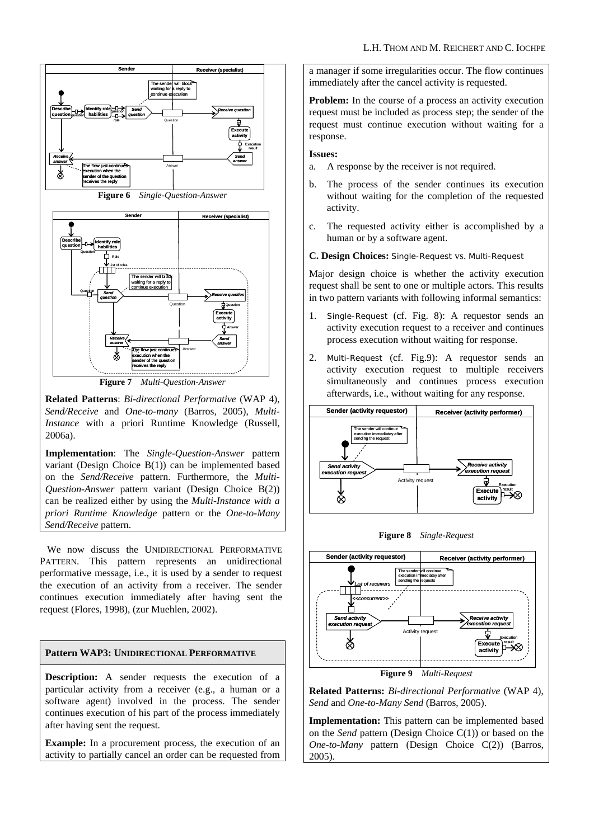

**Figure 7** *Multi-Question-Answer*

**Related Patterns**: *Bi-directional Performative* (WAP 4), *Send/Receive* and *One-to-many* (Barros, 2005), *Multi-Instance* with a priori Runtime Knowledge (Russell, 2006a).

**Implementation**: The *Single-Question-Answer* pattern variant (Design Choice B(1)) can be implemented based on the *Send/Receive* pattern. Furthermore, the *Multi-Question-Answer* pattern variant (Design Choice B(2)) can be realized either by using the *Multi-Instance with a priori Runtime Knowledge* pattern or the *One-to-Many Send/Receive* pattern.

We now discuss the UNIDIRECTIONAL PERFORMATIVE PATTERN. This pattern represents an unidirectional performative message, i.e., it is used by a sender to request the execution of an activity from a receiver. The sender continues execution immediately after having sent the request (Flores, 1998), (zur Muehlen, 2002).

## **Pattern WAP3: UNIDIRECTIONAL PERFORMATIVE**

**Description:** A sender requests the execution of a particular activity from a receiver (e.g., a human or a software agent) involved in the process. The sender continues execution of his part of the process immediately after having sent the request.

**Example:** In a procurement process, the execution of an activity to partially cancel an order can be requested from a manager if some irregularities occur. The flow continues immediately after the cancel activity is requested.

**Problem:** In the course of a process an activity execution request must be included as process step; the sender of the request must continue execution without waiting for a response.

#### **Issues:**

- a. A response by the receiver is not required.
- b. The process of the sender continues its execution without waiting for the completion of the requested activity.
- c. The requested activity either is accomplished by a human or by a software agent.
- **C. Design Choices:** Single-Request vs. Multi-Request

Major design choice is whether the activity execution request shall be sent to one or multiple actors. This results in two pattern variants with following informal semantics:

- 1. *Single-Request* (cf. Fig. 8): A requestor sends an activity execution request to a receiver and continues process execution without waiting for response.
- 2. *Multi-Request* (cf. Fig.9): A requestor sends an activity execution request to multiple receivers simultaneously and continues process execution afterwards, i.e., without waiting for any response.



**Figure 8** *Single-Request* 



**Figure 9** *Multi-Request*

**Related Patterns:** *Bi-directional Performative* (WAP 4), *Send* and *One-to-Many Send* (Barros, 2005).

**Implementation:** This pattern can be implemented based on the *Send* pattern (Design Choice C(1)) or based on the *One-to-Many* pattern (Design Choice C(2)) (Barros, 2005).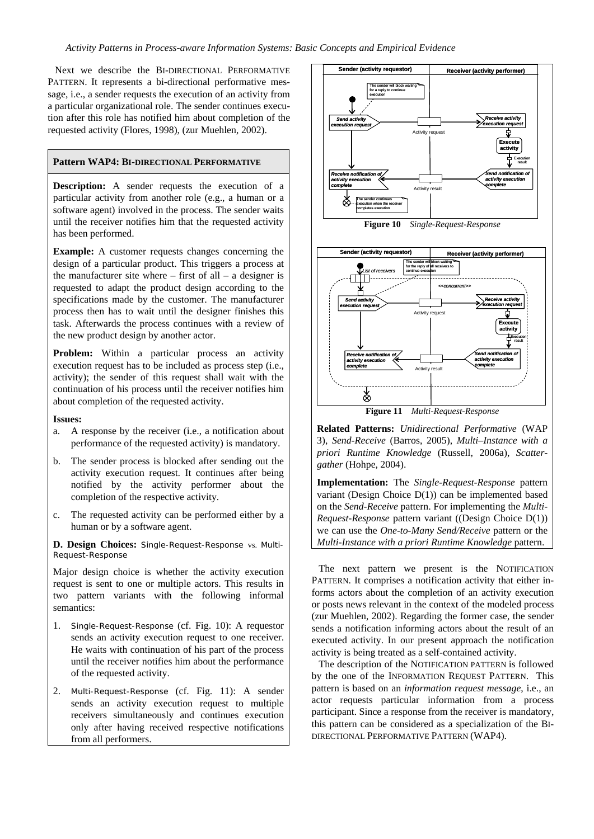Next we describe the BI-DIRECTIONAL PERFORMATIVE PATTERN. It represents a bi-directional performative message, i.e., a sender requests the execution of an activity from a particular organizational role. The sender continues execution after this role has notified him about completion of the requested activity (Flores, 1998), (zur Muehlen, 2002).

#### **Pattern WAP4: BI-DIRECTIONAL PERFORMATIVE**

**Description:** A sender requests the execution of a particular activity from another role (e.g., a human or a software agent) involved in the process. The sender waits until the receiver notifies him that the requested activity has been performed.

**Example:** A customer requests changes concerning the design of a particular product. This triggers a process at the manufacturer site where  $-$  first of all  $-$  a designer is requested to adapt the product design according to the specifications made by the customer. The manufacturer process then has to wait until the designer finishes this task. Afterwards the process continues with a review of the new product design by another actor.

Problem: Within a particular process an activity execution request has to be included as process step (i.e., activity); the sender of this request shall wait with the continuation of his process until the receiver notifies him about completion of the requested activity.

#### **Issues:**

- a. A response by the receiver (i.e., a notification about performance of the requested activity) is mandatory.
- b. The sender process is blocked after sending out the activity execution request. It continues after being notified by the activity performer about the completion of the respective activity.
- c. The requested activity can be performed either by a human or by a software agent.

**D. Design Choices:** Single-Request-Response vs. Multi-Request-Response

Major design choice is whether the activity execution request is sent to one or multiple actors. This results in two pattern variants with the following informal semantics:

- 1. *Single-Request-Response* (cf. Fig. 10): A requestor sends an activity execution request to one receiver. He waits with continuation of his part of the process until the receiver notifies him about the performance of the requested activity.
- 2. *Multi-Request-Response* (cf. Fig. 11): A sender sends an activity execution request to multiple receivers simultaneously and continues execution only after having received respective notifications from all performers.



**Related Patterns:** *Unidirectional Performative* (WAP 3), *Send-Receive* (Barros, 2005), *Multi–Instance with a priori Runtime Knowledge* (Russell, 2006a), *Scattergather* (Hohpe, 2004).

**Implementation:** The *Single-Request-Response* pattern variant (Design Choice D(1)) can be implemented based on the *Send-Receive* pattern. For implementing the *Multi-Request-Response* pattern variant ((Design Choice D(1)) we can use the *One-to-Many Send/Receive* pattern or the *Multi-Instance with a priori Runtime Knowledge* pattern.

The next pattern we present is the NOTIFICATION PATTERN. It comprises a notification activity that either informs actors about the completion of an activity execution or posts news relevant in the context of the modeled process (zur Muehlen, 2002). Regarding the former case, the sender sends a notification informing actors about the result of an executed activity. In our present approach the notification activity is being treated as a self-contained activity.

The description of the NOTIFICATION PATTERN is followed by the one of the INFORMATION REQUEST PATTERN. This pattern is based on an *information request message*, i.e., an actor requests particular information from a process participant. Since a response from the receiver is mandatory, this pattern can be considered as a specialization of the BI-DIRECTIONAL PERFORMATIVE PATTERN (WAP4).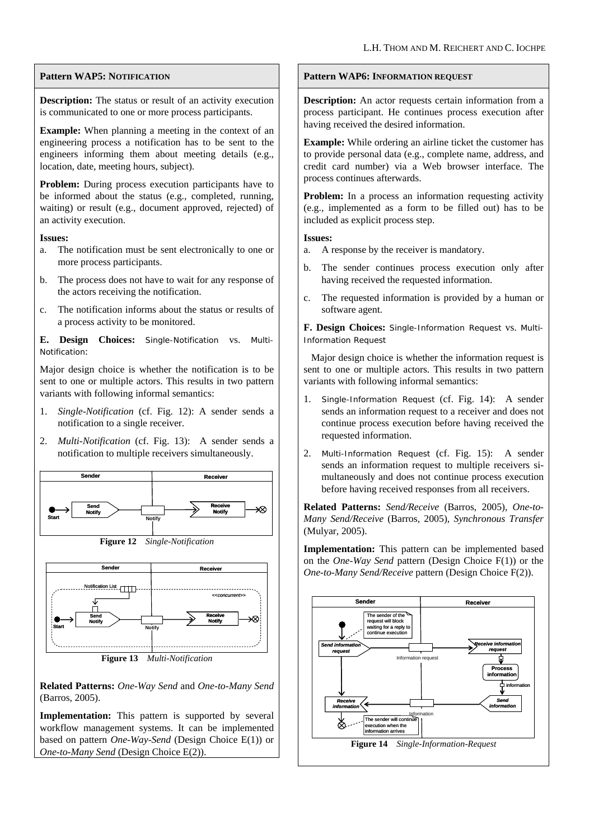## **Pattern WAP5: NOTIFICATION**

**Description:** The status or result of an activity execution is communicated to one or more process participants.

**Example:** When planning a meeting in the context of an engineering process a notification has to be sent to the engineers informing them about meeting details (e.g., location, date, meeting hours, subject).

**Problem:** During process execution participants have to be informed about the status (e.g., completed, running, waiting) or result (e.g., document approved, rejected) of an activity execution.

## **Issues:**

- a. The notification must be sent electronically to one or more process participants.
- b. The process does not have to wait for any response of the actors receiving the notification.
- c. The notification informs about the status or results of a process activity to be monitored.

**E. Design Choices:** Single-Notification vs. Multi-Notification:

Major design choice is whether the notification is to be sent to one or multiple actors. This results in two pattern variants with following informal semantics:

- 1. *Single-Notification* (cf. Fig. 12): A sender sends a notification to a single receiver.
- 2. *Multi-Notification* (cf. Fig. 13): A sender sends a notification to multiple receivers simultaneously.





**Figure 13** *Multi-Notification* 

**Related Patterns:** *One-Way Send* and *One-to-Many Send* (Barros, 2005).

**Implementation:** This pattern is supported by several workflow management systems. It can be implemented based on pattern *One-Way-Send* (Design Choice E(1)) or *One-to-Many Send* (Design Choice E(2)).

## **Pattern WAP6: INFORMATION REQUEST**

**Description:** An actor requests certain information from a process participant. He continues process execution after having received the desired information.

**Example:** While ordering an airline ticket the customer has to provide personal data (e.g., complete name, address, and credit card number) via a Web browser interface. The process continues afterwards.

**Problem:** In a process an information requesting activity (e.g., implemented as a form to be filled out) has to be included as explicit process step.

## **Issues:**

- a. A response by the receiver is mandatory.
- b. The sender continues process execution only after having received the requested information.
- c. The requested information is provided by a human or software agent.

**F. Design Choices:** Single-Information Request vs. Multi-Information Request

 Major design choice is whether the information request is sent to one or multiple actors. This results in two pattern variants with following informal semantics:

- 1. *Single-Information Request* (cf. Fig. 14): A sender sends an information request to a receiver and does not continue process execution before having received the requested information.
- 2. *Multi-Information Request* (cf. Fig. 15): A sender sends an information request to multiple receivers simultaneously and does not continue process execution before having received responses from all receivers.

**Related Patterns:** *Send/Receive* (Barros, 2005), *One-to-Many Send/Receive* (Barros, 2005), *Synchronous Transfer* (Mulyar, 2005).

**Implementation:** This pattern can be implemented based on the *One-Way Send* pattern (Design Choice F(1)) or the *One-to-Many Send/Receive* pattern (Design Choice F(2)).

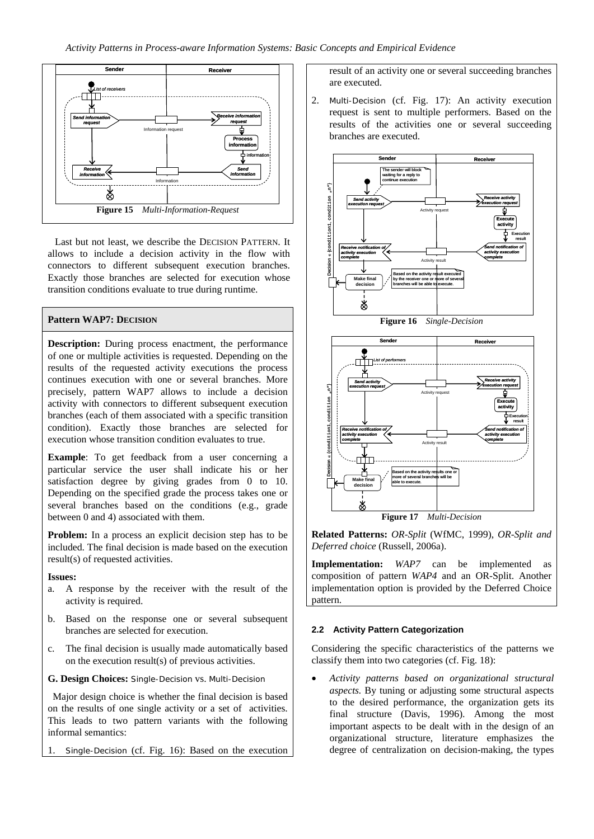

Last but not least, we describe the DECISION PATTERN. It allows to include a decision activity in the flow with connectors to different subsequent execution branches. Exactly those branches are selected for execution whose transition conditions evaluate to true during runtime.

## **Pattern WAP7: DECISION**

**Description:** During process enactment, the performance of one or multiple activities is requested. Depending on the results of the requested activity executions the process continues execution with one or several branches. More precisely, pattern WAP7 allows to include a decision activity with connectors to different subsequent execution branches (each of them associated with a specific transition condition). Exactly those branches are selected for execution whose transition condition evaluates to true.

**Example**: To get feedback from a user concerning a particular service the user shall indicate his or her satisfaction degree by giving grades from 0 to 10. Depending on the specified grade the process takes one or several branches based on the conditions (e.g., grade between 0 and 4) associated with them.

**Problem:** In a process an explicit decision step has to be included. The final decision is made based on the execution result(s) of requested activities.

#### **Issues:**

- a. A response by the receiver with the result of the activity is required.
- b. Based on the response one or several subsequent branches are selected for execution.
- c. The final decision is usually made automatically based on the execution result(s) of previous activities.
- **G. Design Choices:** Single-Decision vs. Multi-Decision

 Major design choice is whether the final decision is based on the results of one single activity or a set of activities. This leads to two pattern variants with the following informal semantics:

Single-Decision (cf. Fig. 16): Based on the execution

result of an activity one or several succeeding branches are executed.

2. Multi-Decision (cf. Fig. 17): An activity execution request is sent to multiple performers. Based on the results of the activities one or several succeeding branches are executed.







**Related Patterns:** *OR-Split* (WfMC, 1999), *OR-Split and Deferred choice* (Russell, 2006a).

**Implementation:** *WAP7* can be implemented as composition of pattern *WAP4* and an OR-Split. Another implementation option is provided by the Deferred Choice pattern.

## **2.2 Activity Pattern Categorization**

Considering the specific characteristics of the patterns we classify them into two categories (cf. Fig. 18):

• *Activity patterns based on organizational structural aspects.* By tuning or adjusting some structural aspects to the desired performance, the organization gets its final structure (Davis, 1996). Among the most important aspects to be dealt with in the design of an organizational structure, literature emphasizes the degree of centralization on decision-making, the types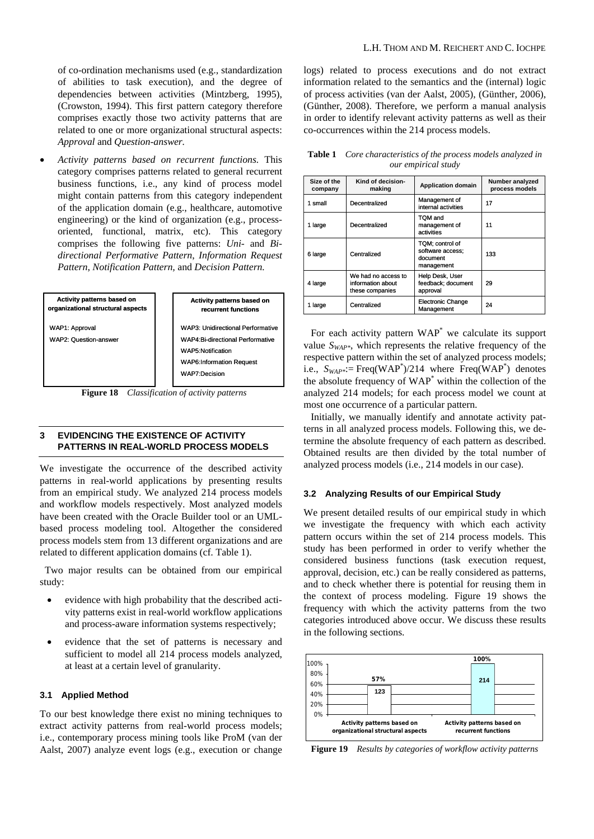of co-ordination mechanisms used (e.g., standardization of abilities to task execution), and the degree of dependencies between activities (Mintzberg, 1995), (Crowston, 1994). This first pattern category therefore comprises exactly those two activity patterns that are related to one or more organizational structural aspects: *Approval* and *Question-answer.* 

• *Activity patterns based on recurrent functions.* This category comprises patterns related to general recurrent business functions, i.e., any kind of process model might contain patterns from this category independent of the application domain (e.g., healthcare, automotive engineering) or the kind of organization (e.g., processoriented, functional, matrix, etc). This category comprises the following five patterns: *Uni-* and *Bidirectional Performative Pattern*, *Information Request Pattern*, *Notification Pattern,* and *Decision Pattern.* 



WAP6:Information Request WAP7:Decision

**Activity patterns based on recurrent functions**

**Figure 18** *Classification of activity patterns* 

## **3 EVIDENCING THE EXISTENCE OF ACTIVITY PATTERNS IN REAL-WORLD PROCESS MODELS**

We investigate the occurrence of the described activity patterns in real-world applications by presenting results from an empirical study. We analyzed 214 process models and workflow models respectively. Most analyzed models have been created with the Oracle Builder tool or an UMLbased process modeling tool. Altogether the considered process models stem from 13 different organizations and are related to different application domains (cf. Table 1).

 Two major results can be obtained from our empirical study:

- evidence with high probability that the described activity patterns exist in real-world workflow applications and process-aware information systems respectively;
- evidence that the set of patterns is necessary and sufficient to model all 214 process models analyzed, at least at a certain level of granularity.

## **3.1 Applied Method**

To our best knowledge there exist no mining techniques to extract activity patterns from real-world process models; i.e., contemporary process mining tools like ProM (van der Aalst, 2007) analyze event logs (e.g., execution or change logs) related to process executions and do not extract information related to the semantics and the (internal) logic of process activities (van der Aalst, 2005), (Günther, 2006), (Günther, 2008). Therefore, we perform a manual analysis in order to identify relevant activity patterns as well as their co-occurrences within the 214 process models.

**Table 1** *Core characteristics of the process models analyzed in our empirical study* 

| Size of the<br>company | Kind of decision-<br>making                                 | <b>Application domain</b>                                     | Number analyzed<br>process models |
|------------------------|-------------------------------------------------------------|---------------------------------------------------------------|-----------------------------------|
| 1 small                | Decentralized                                               | Management of<br>internal activities                          | 17                                |
| 1 large                | Decentralized                                               | TOM and<br>management of<br>activities                        | 11                                |
| 6 large                | Centralized                                                 | TQM; control of<br>software access;<br>document<br>management | 133                               |
| 4 large                | We had no access to<br>information about<br>these companies | Help Desk, User<br>feedback; document<br>approval             | 29                                |
| 1 large                | Centralized                                                 | <b>Electronic Change</b><br>Management                        | 24                                |

For each activity pattern  $WAP^*$  we calculate its support value *SWAP\**, which represents the relative frequency of the respective pattern within the set of analyzed process models; i.e.,  $S_{WAP^*}$ : Freq(WAP<sup>\*</sup>)/214 where Freq(WAP<sup>\*</sup>) denotes the absolute frequency of WAP\* within the collection of the analyzed 214 models; for each process model we count at most one occurrence of a particular pattern.

Initially, we manually identify and annotate activity patterns in all analyzed process models. Following this, we determine the absolute frequency of each pattern as described. Obtained results are then divided by the total number of analyzed process models (i.e., 214 models in our case).

#### **3.2 Analyzing Results of our Empirical Study**

We present detailed results of our empirical study in which we investigate the frequency with which each activity pattern occurs within the set of 214 process models. This study has been performed in order to verify whether the considered business functions (task execution request, approval, decision, etc.) can be really considered as patterns, and to check whether there is potential for reusing them in the context of process modeling. Figure 19 shows the frequency with which the activity patterns from the two categories introduced above occur. We discuss these results in the following sections.



**Figure 19** *Results by categories of workflow activity patterns*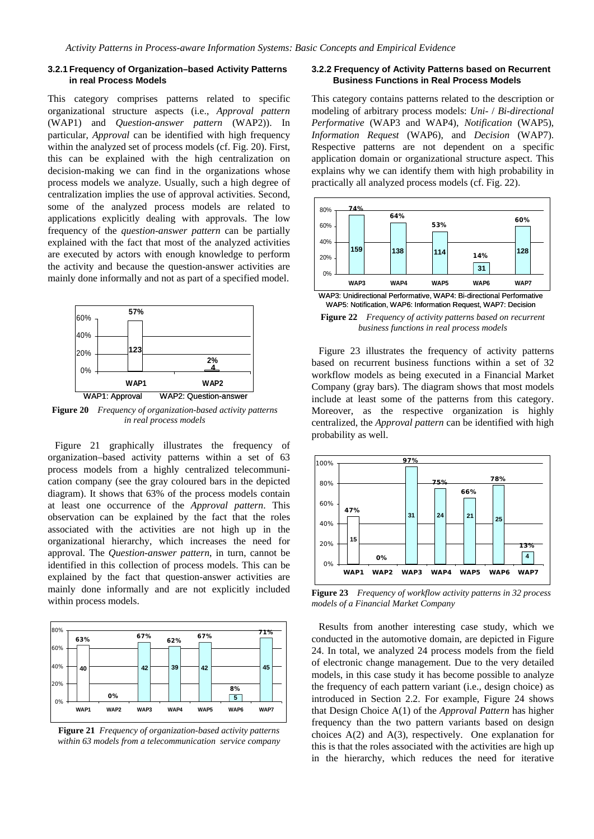#### **3.2.1 Frequency of Organization–based Activity Patterns in real Process Models**

This category comprises patterns related to specific organizational structure aspects (i.e., *Approval pattern* (WAP1) and *Question-answer pattern* (WAP2)). In particular, *Approval* can be identified with high frequency within the analyzed set of process models (cf. Fig. 20). First, this can be explained with the high centralization on decision-making we can find in the organizations whose process models we analyze. Usually, such a high degree of centralization implies the use of approval activities. Second, some of the analyzed process models are related to applications explicitly dealing with approvals. The low frequency of the *question-answer pattern* can be partially explained with the fact that most of the analyzed activities are executed by actors with enough knowledge to perform the activity and because the question-answer activities are mainly done informally and not as part of a specified model.



**Figure 20** *Frequency of organization-based activity patterns in real process models*

Figure 21 graphically illustrates the frequency of organization–based activity patterns within a set of 63 process models from a highly centralized telecommunication company (see the gray coloured bars in the depicted diagram). It shows that 63% of the process models contain at least one occurrence of the *Approval pattern*. This observation can be explained by the fact that the roles associated with the activities are not high up in the organizational hierarchy, which increases the need for approval. The *Question-answer pattern*, in turn, cannot be identified in this collection of process models. This can be explained by the fact that question-answer activities are mainly done informally and are not explicitly included within process models.



**Figure 21** *Frequency of organization-based activity patterns within 63 models from a telecommunication service company*

#### **3.2.2 Frequency of Activity Patterns based on Recurrent Business Functions in Real Process Models**

This category contains patterns related to the description or modeling of arbitrary process models: *Uni-* / *Bi-directional Performative* (WAP3 and WAP4), *Notification* (WAP5), *Information Request* (WAP6), and *Decision* (WAP7). Respective patterns are not dependent on a specific application domain or organizational structure aspect. This explains why we can identify them with high probability in practically all analyzed process models (cf. Fig. 22).



**Figure 22** *Frequency of activity patterns based on recurrent business functions in real process models*

Figure 23 illustrates the frequency of activity patterns based on recurrent business functions within a set of 32 workflow models as being executed in a Financial Market Company (gray bars). The diagram shows that most models include at least some of the patterns from this category. Moreover, as the respective organization is highly centralized, the *Approval pattern* can be identified with high probability as well.



**Figure 23** *Frequency of workflow activity patterns in 32 process models of a Financial Market Company*

Results from another interesting case study, which we conducted in the automotive domain, are depicted in Figure 24. In total, we analyzed 24 process models from the field of electronic change management. Due to the very detailed models, in this case study it has become possible to analyze the frequency of each pattern variant (i.e., design choice) as introduced in Section 2.2. For example, Figure 24 shows that Design Choice A(1) of the *Approval Pattern* has higher frequency than the two pattern variants based on design choices A(2) and A(3), respectively. One explanation for this is that the roles associated with the activities are high up in the hierarchy, which reduces the need for iterative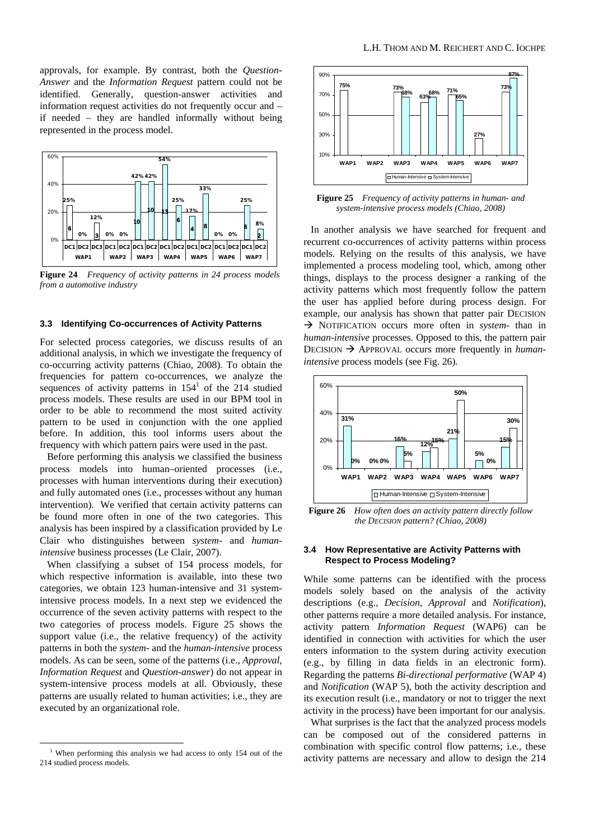approvals, for example. By contrast, both the *Question-Answer* and the *Information Request* pattern could not be identified. Generally, question-answer activities and information request activities do not frequently occur and – if needed – they are handled informally without being represented in the process model.



**Figure 24** *Frequency of activity patterns in 24 process models from a automotive industry*

#### **3.3 Identifying Co-occurrences of Activity Patterns**

For selected process categories, we discuss results of an additional analysis, in which we investigate the frequency of co-occurring activity patterns (Chiao, 2008). To obtain the frequencies for pattern co-occurrences, we analyze the sequences of activity patterns in  $154<sup>1</sup>$  of the 214 studied process models. These results are used in our BPM tool in order to be able to recommend the most suited activity pattern to be used in conjunction with the one applied before. In addition, this tool informs users about the frequency with which pattern pairs were used in the past.

Before performing this analysis we classified the business process models into human–oriented processes (i.e., processes with human interventions during their execution) and fully automated ones (i.e., processes without any human intervention). We verified that certain activity patterns can be found more often in one of the two categories. This analysis has been inspired by a classification provided by Le Clair who distinguishes between *system-* and *humanintensive* business processes (Le Clair, 2007).

When classifying a subset of 154 process models, for which respective information is available, into these two categories, we obtain 123 human-intensive and 31 systemintensive process models. In a next step we evidenced the occurrence of the seven activity patterns with respect to the two categories of process models. Figure 25 shows the support value (i.e., the relative frequency) of the activity patterns in both the *system-* and the *human-intensive* process models. As can be seen, some of the patterns (i.e., *Approval*, *Information Request* and *Question-answer*) do not appear in system-intensive process models at all. Obviously, these patterns are usually related to human activities; i.e., they are executed by an organizational role.



**Figure 25** *Frequency of activity patterns in human- and system-intensive process models (Chiao, 2008)*

In another analysis we have searched for frequent and recurrent co-occurrences of activity patterns within process models. Relying on the results of this analysis, we have implemented a process modeling tool, which, among other things, displays to the process designer a ranking of the activity patterns which most frequently follow the pattern the user has applied before during process design. For example, our analysis has shown that patter pair DECISION Æ NOTIFICATION occurs more often in *system-* than in *human-intensive* processes. Opposed to this, the pattern pair DECISION  $\rightarrow$  APPROVAL occurs more frequently in *humanintensive* process models (see Fig. 26)*.* 



**Figure 26** *How often does an activity pattern directly follow the DECISION pattern? (Chiao, 2008)* 

#### **3.4 How Representative are Activity Patterns with Respect to Process Modeling?**

While some patterns can be identified with the process models solely based on the analysis of the activity descriptions (e.g., *Decision*, *Approval* and *Notification*), other patterns require a more detailed analysis. For instance, activity pattern *Information Request* (WAP6) can be identified in connection with activities for which the user enters information to the system during activity execution (e.g., by filling in data fields in an electronic form). Regarding the patterns *Bi-directional performative* (WAP 4) and *Notification* (WAP 5), both the activity description and its execution result (i.e., mandatory or not to trigger the next activity in the process) have been important for our analysis.

What surprises is the fact that the analyzed process models can be composed out of the considered patterns in combination with specific control flow patterns; i.e., these activity patterns are necessary and allow to design the 214

<sup>&</sup>lt;sup>1</sup> When performing this analysis we had access to only 154 out of the 214 studied process models.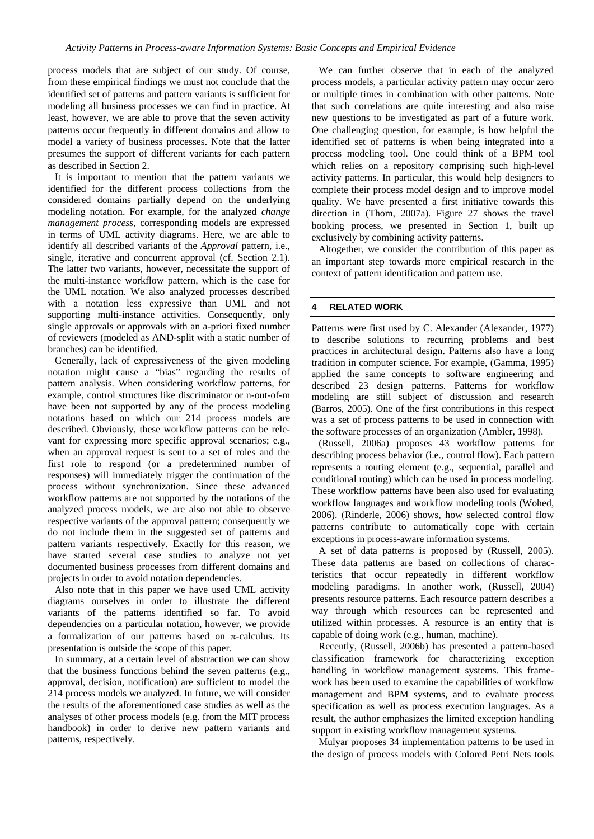process models that are subject of our study. Of course, from these empirical findings we must not conclude that the identified set of patterns and pattern variants is sufficient for modeling all business processes we can find in practice. At least, however, we are able to prove that the seven activity patterns occur frequently in different domains and allow to model a variety of business processes. Note that the latter presumes the support of different variants for each pattern as described in Section 2.

It is important to mention that the pattern variants we identified for the different process collections from the considered domains partially depend on the underlying modeling notation. For example, for the analyzed *change management process*, corresponding models are expressed in terms of UML activity diagrams. Here, we are able to identify all described variants of the *Approval* pattern, i.e., single, iterative and concurrent approval (cf. Section 2.1). The latter two variants, however, necessitate the support of the multi-instance workflow pattern, which is the case for the UML notation. We also analyzed processes described with a notation less expressive than UML and not supporting multi-instance activities. Consequently, only single approvals or approvals with an a-priori fixed number of reviewers (modeled as AND-split with a static number of branches) can be identified.

Generally, lack of expressiveness of the given modeling notation might cause a "bias" regarding the results of pattern analysis. When considering workflow patterns, for example, control structures like discriminator or n-out-of-m have been not supported by any of the process modeling notations based on which our 214 process models are described. Obviously, these workflow patterns can be relevant for expressing more specific approval scenarios; e.g., when an approval request is sent to a set of roles and the first role to respond (or a predetermined number of responses) will immediately trigger the continuation of the process without synchronization. Since these advanced workflow patterns are not supported by the notations of the analyzed process models, we are also not able to observe respective variants of the approval pattern; consequently we do not include them in the suggested set of patterns and pattern variants respectively. Exactly for this reason, we have started several case studies to analyze not yet documented business processes from different domains and projects in order to avoid notation dependencies.

Also note that in this paper we have used UML activity diagrams ourselves in order to illustrate the different variants of the patterns identified so far. To avoid dependencies on a particular notation, however, we provide a formalization of our patterns based on  $\pi$ -calculus. Its presentation is outside the scope of this paper.

In summary, at a certain level of abstraction we can show that the business functions behind the seven patterns (e.g., approval, decision, notification) are sufficient to model the 214 process models we analyzed. In future, we will consider the results of the aforementioned case studies as well as the analyses of other process models (e.g. from the MIT process handbook) in order to derive new pattern variants and patterns, respectively.

We can further observe that in each of the analyzed process models, a particular activity pattern may occur zero or multiple times in combination with other patterns. Note that such correlations are quite interesting and also raise new questions to be investigated as part of a future work. One challenging question, for example, is how helpful the identified set of patterns is when being integrated into a process modeling tool. One could think of a BPM tool which relies on a repository comprising such high-level activity patterns. In particular, this would help designers to complete their process model design and to improve model quality. We have presented a first initiative towards this direction in (Thom, 2007a). Figure 27 shows the travel booking process, we presented in Section 1, built up exclusively by combining activity patterns.

Altogether, we consider the contribution of this paper as an important step towards more empirical research in the context of pattern identification and pattern use.

#### **4 RELATED WORK**

Patterns were first used by C. Alexander (Alexander, 1977) to describe solutions to recurring problems and best practices in architectural design. Patterns also have a long tradition in computer science. For example, (Gamma, 1995) applied the same concepts to software engineering and described 23 design patterns. Patterns for workflow modeling are still subject of discussion and research (Barros, 2005). One of the first contributions in this respect was a set of process patterns to be used in connection with the software processes of an organization (Ambler, 1998).

(Russell, 2006a) proposes 43 workflow patterns for describing process behavior (i.e., control flow). Each pattern represents a routing element (e.g., sequential, parallel and conditional routing) which can be used in process modeling. These workflow patterns have been also used for evaluating workflow languages and workflow modeling tools (Wohed, 2006). (Rinderle, 2006) shows, how selected control flow patterns contribute to automatically cope with certain exceptions in process-aware information systems.

A set of data patterns is proposed by (Russell, 2005). These data patterns are based on collections of characteristics that occur repeatedly in different workflow modeling paradigms. In another work, (Russell, 2004) presents resource patterns. Each resource pattern describes a way through which resources can be represented and utilized within processes. A resource is an entity that is capable of doing work (e.g., human, machine).

Recently, (Russell, 2006b) has presented a pattern-based classification framework for characterizing exception handling in workflow management systems. This framework has been used to examine the capabilities of workflow management and BPM systems, and to evaluate process specification as well as process execution languages. As a result, the author emphasizes the limited exception handling support in existing workflow management systems.

Mulyar proposes 34 implementation patterns to be used in the design of process models with Colored Petri Nets tools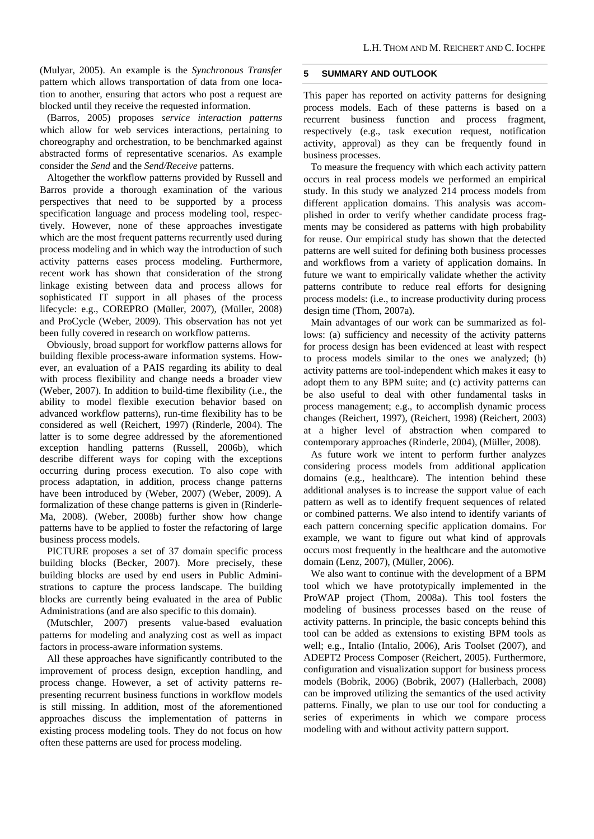(Mulyar, 2005). An example is the *Synchronous Transfer* pattern which allows transportation of data from one location to another, ensuring that actors who post a request are blocked until they receive the requested information.

(Barros, 2005) proposes *service interaction patterns* which allow for web services interactions, pertaining to choreography and orchestration, to be benchmarked against abstracted forms of representative scenarios. As example consider the *Send* and the *Send/Receive* patterns.

Altogether the workflow patterns provided by Russell and Barros provide a thorough examination of the various perspectives that need to be supported by a process specification language and process modeling tool, respectively. However, none of these approaches investigate which are the most frequent patterns recurrently used during process modeling and in which way the introduction of such activity patterns eases process modeling. Furthermore, recent work has shown that consideration of the strong linkage existing between data and process allows for sophisticated IT support in all phases of the process lifecycle: e.g., COREPRO (Müller, 2007), (Müller, 2008) and ProCycle (Weber, 2009). This observation has not yet been fully covered in research on workflow patterns.

Obviously, broad support for workflow patterns allows for building flexible process-aware information systems. However, an evaluation of a PAIS regarding its ability to deal with process flexibility and change needs a broader view (Weber, 2007). In addition to build-time flexibility (i.e., the ability to model flexible execution behavior based on advanced workflow patterns), run-time flexibility has to be considered as well (Reichert, 1997) (Rinderle, 2004). The latter is to some degree addressed by the aforementioned exception handling patterns (Russell, 2006b), which describe different ways for coping with the exceptions occurring during process execution. To also cope with process adaptation, in addition, process change patterns have been introduced by (Weber, 2007) (Weber, 2009). A formalization of these change patterns is given in (Rinderle-Ma, 2008). (Weber, 2008b) further show how change patterns have to be applied to foster the refactoring of large business process models.

PICTURE proposes a set of 37 domain specific process building blocks (Becker, 2007). More precisely, these building blocks are used by end users in Public Administrations to capture the process landscape. The building blocks are currently being evaluated in the area of Public Administrations (and are also specific to this domain).

(Mutschler, 2007) presents value-based evaluation patterns for modeling and analyzing cost as well as impact factors in process-aware information systems.

All these approaches have significantly contributed to the improvement of process design, exception handling, and process change. However, a set of activity patterns representing recurrent business functions in workflow models is still missing. In addition, most of the aforementioned approaches discuss the implementation of patterns in existing process modeling tools. They do not focus on how often these patterns are used for process modeling.

## **5 SUMMARY AND OUTLOOK**

This paper has reported on activity patterns for designing process models. Each of these patterns is based on a recurrent business function and process fragment, respectively (e.g., task execution request, notification activity, approval) as they can be frequently found in business processes.

To measure the frequency with which each activity pattern occurs in real process models we performed an empirical study. In this study we analyzed 214 process models from different application domains. This analysis was accomplished in order to verify whether candidate process fragments may be considered as patterns with high probability for reuse. Our empirical study has shown that the detected patterns are well suited for defining both business processes and workflows from a variety of application domains. In future we want to empirically validate whether the activity patterns contribute to reduce real efforts for designing process models: (i.e., to increase productivity during process design time (Thom, 2007a).

Main advantages of our work can be summarized as follows: (a) sufficiency and necessity of the activity patterns for process design has been evidenced at least with respect to process models similar to the ones we analyzed; (b) activity patterns are tool-independent which makes it easy to adopt them to any BPM suite; and (c) activity patterns can be also useful to deal with other fundamental tasks in process management; e.g., to accomplish dynamic process changes (Reichert, 1997), (Reichert, 1998) (Reichert, 2003) at a higher level of abstraction when compared to contemporary approaches (Rinderle, 2004), (Müller, 2008).

As future work we intent to perform further analyzes considering process models from additional application domains (e.g., healthcare). The intention behind these additional analyses is to increase the support value of each pattern as well as to identify frequent sequences of related or combined patterns. We also intend to identify variants of each pattern concerning specific application domains. For example, we want to figure out what kind of approvals occurs most frequently in the healthcare and the automotive domain (Lenz, 2007), (Müller, 2006).

We also want to continue with the development of a BPM tool which we have prototypically implemented in the ProWAP project (Thom, 2008a). This tool fosters the modeling of business processes based on the reuse of activity patterns. In principle, the basic concepts behind this tool can be added as extensions to existing BPM tools as well; e.g., Intalio (Intalio, 2006), Aris Toolset (2007), and ADEPT2 Process Composer (Reichert, 2005). Furthermore, configuration and visualization support for business process models (Bobrik, 2006) (Bobrik, 2007) (Hallerbach, 2008) can be improved utilizing the semantics of the used activity patterns. Finally, we plan to use our tool for conducting a series of experiments in which we compare process modeling with and without activity pattern support.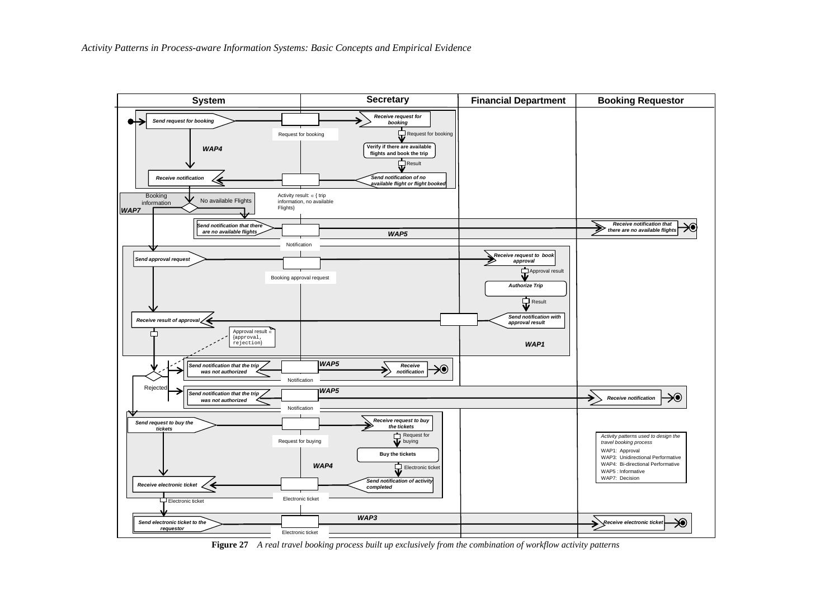

**Figure 27** *A real travel booking process built up exclusively from the combination of workflow activity patterns*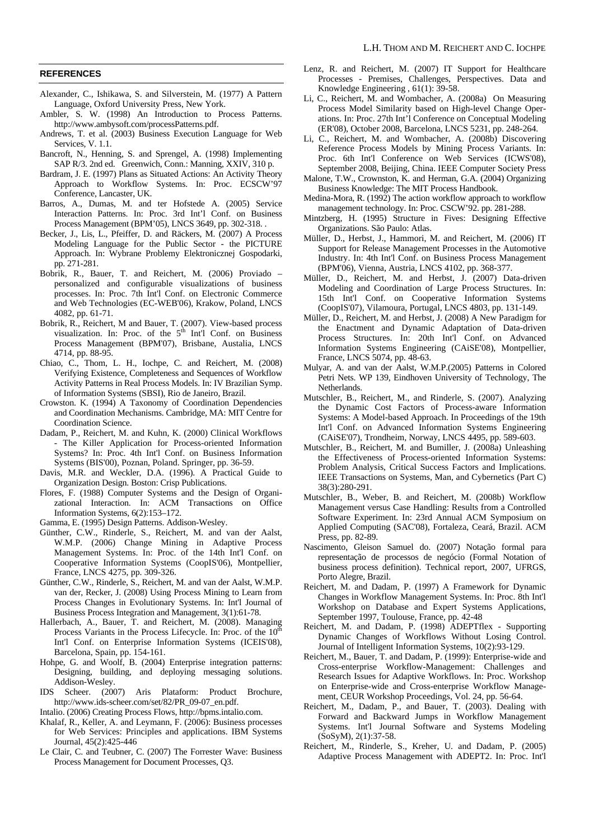#### **REFERENCES**

- Alexander, C., Ishikawa, S. and Silverstein, M. (1977) A Pattern Language, Oxford University Press, New York.
- Ambler, S. W. (1998) An Introduction to Process Patterns. http://www.ambysoft.com/processPatterns.pdf.
- Andrews, T. et al. (2003) Business Execution Language for Web Services, V. 1.1.
- Bancroft, N., Henning, S. and Sprengel, A. (1998) Implementing SAP R/3. 2nd ed. Greenwich, Conn.: Manning, XXIV, 310 p.
- Bardram, J. E. (1997) Plans as Situated Actions: An Activity Theory Approach to Workflow Systems. In: Proc. ECSCW'97 Conference, Lancaster, UK.
- Barros, A., Dumas, M. and ter Hofstede A. (2005) Service Interaction Patterns. In: Proc. 3rd Int'l Conf. on Business Process Management (BPM'05), LNCS 3649, pp. 302-318. .
- Becker, J., Lis, L., Pfeiffer, D. and Räckers, M. (2007) A Process Modeling Language for the Public Sector - the PICTURE Approach. In: Wybrane Problemy Elektronicznej Gospodarki, pp. 271-281.
- Bobrik, R., Bauer, T. and Reichert, M. (2006) Proviado personalized and configurable visualizations of business processes. In: Proc. 7th Int'l Conf. on Electronic Commerce and Web Technologies (EC-WEB'06), Krakow, Poland, LNCS 4082, pp. 61-71.
- Bobrik, R., Reichert, M and Bauer, T. (2007). View-based process visualization. In: Proc. of the  $5<sup>th</sup>$  Int'l Conf. on Business Process Management (BPM'07), Brisbane, Austalia, LNCS 4714, pp. 88-95.
- Chiao, C., Thom, L. H., Iochpe, C. and Reichert, M. (2008) Verifying Existence, Completeness and Sequences of Workflow Activity Patterns in Real Process Models. In: IV Brazilian Symp. of Information Systems (SBSI), Rio de Janeiro, Brazil.
- Crowston. K. (1994) A Taxonomy of Coordination Dependencies and Coordination Mechanisms. Cambridge, MA: MIT Centre for Coordination Science.
- Dadam, P., Reichert, M. and Kuhn, K. (2000) Clinical Workflows - The Killer Application for Process-oriented Information Systems? In: Proc. 4th Int'l Conf. on Business Information Systems (BIS'00), Poznan, Poland. Springer, pp. 36-59.
- Davis, M.R. and Weckler, D.A. (1996). A Practical Guide to Organization Design. Boston: Crisp Publications.
- Flores, F. (1988) Computer Systems and the Design of Organizational Interaction. In: ACM Transactions on Office Information Systems, 6(2):153–172.
- Gamma, E. (1995) Design Patterns. Addison-Wesley.
- Günther, C.W., Rinderle, S., Reichert, M. and van der Aalst, W.M.P. (2006) Change Mining in Adaptive Process Management Systems. In: Proc. of the 14th Int'l Conf. on Cooperative Information Systems (CoopIS'06), Montpellier, France, LNCS 4275, pp. 309-326.
- Günther, C.W., Rinderle, S., Reichert, M. and van der Aalst, W.M.P. van der, Recker, J. (2008) Using Process Mining to Learn from Process Changes in Evolutionary Systems. In: Int'l Journal of Business Process Integration and Management, 3(1):61-78.
- Hallerbach, A., Bauer, T. and Reichert, M. (2008). Managing Process Variants in the Process Lifecycle. In: Proc. of the  $10^{th}$ Int'l Conf. on Enterprise Information Systems (ICEIS'08), Barcelona, Spain, pp. 154-161.
- Hohpe, G. and Woolf, B. (2004) Enterprise integration patterns: Designing, building, and deploying messaging solutions. Addison-Wesley.
- IDS Scheer. (2007) Aris Plataform: Product Brochure, http://www.ids-scheer.com/set/82/PR\_09-07\_en.pdf.
- Intalio. (2006) Creating Process Flows, http://bpms.intalio.com.
- Khalaf, R., Keller, A. and Leymann, F. (2006): Business processes for Web Services: Principles and applications. IBM Systems Journal, 45(2):425-446
- Le Clair, C. and Teubner, C. (2007) The Forrester Wave: Business Process Management for Document Processes, Q3.
- Lenz, R. and Reichert, M. (2007) IT Support for Healthcare Processes - Premises, Challenges, Perspectives. Data and Knowledge Engineering , 61(1): 39-58.
- Li, C., Reichert, M. and Wombacher, A. (2008a) On Measuring Process Model Similarity based on High-level Change Operations. In: Proc. 27th Int'l Conference on Conceptual Modeling (ER'08), October 2008, Barcelona, LNCS 5231, pp. 248-264.
- Li, C., Reichert, M. and Wombacher, A. (2008b) Discovering Reference Process Models by Mining Process Variants. In: Proc. 6th Int'l Conference on Web Services (ICWS'08), September 2008, Beijing, China. IEEE Computer Society Press
- Malone, T.W., Crownston, K. and Herman, G.A. (2004) Organizing Business Knowledge: The MIT Process Handbook.
- Medina-Mora, R. (1992) The action workflow approach to workflow management technology. In: Proc. CSCW'92. pp. 281-288.
- Mintzberg, H. (1995) Structure in Fives: Designing Effective Organizations. São Paulo: Atlas.
- Müller, D., Herbst, J., Hammori, M. and Reichert, M. (2006) IT Support for Release Management Processes in the Automotive Industry. In: 4th Int'l Conf. on Business Process Management (BPM'06), Vienna, Austria, LNCS 4102, pp. 368-377.
- Müller, D., Reichert, M. and Herbst, J. (2007) Data-driven Modeling and Coordination of Large Process Structures. In: 15th Int'l Conf. on Cooperative Information Systems (CoopIS'07), Vilamoura, Portugal, LNCS 4803, pp. 131-149.
- Müller, D., Reichert, M. and Herbst, J. (2008) A New Paradigm for the Enactment and Dynamic Adaptation of Data-driven Process Structures. In: 20th Int'l Conf. on Advanced Information Systems Engineering (CAiSE'08), Montpellier, France, LNCS 5074, pp. 48-63.
- Mulyar, A. and van der Aalst, W.M.P.(2005) Patterns in Colored Petri Nets. WP 139, Eindhoven University of Technology, The Netherlands.
- Mutschler, B., Reichert, M., and Rinderle, S. (2007). Analyzing the Dynamic Cost Factors of Process-aware Information Systems: A Model-based Approach. In Proceedings of the 19th Int'l Conf. on Advanced Information Systems Engineering (CAiSE'07), Trondheim, Norway, LNCS 4495, pp. 589-603.
- Mutschler, B., Reichert, M. and Bumiller, J. (2008a) Unleashing the Effectiveness of Process-oriented Information Systems: Problem Analysis, Critical Success Factors and Implications. IEEE Transactions on Systems, Man, and Cybernetics (Part C) 38(3):280-291.
- Mutschler, B., Weber, B. and Reichert, M. (2008b) Workflow Management versus Case Handling: Results from a Controlled Software Experiment. In: 23rd Annual ACM Symposium on Applied Computing (SAC'08), Fortaleza, Ceará, Brazil. ACM Press, pp. 82-89.
- Nascimento, Gleison Samuel do. (2007) Notação formal para representação de processos de negócio (Formal Notation of business process definition). Technical report, 2007, UFRGS, Porto Alegre, Brazil.
- Reichert, M. and Dadam, P. (1997) A Framework for Dynamic Changes in Workflow Management Systems. In: Proc. 8th Int'l Workshop on Database and Expert Systems Applications, September 1997, Toulouse, France, pp. 42-48
- Reichert, M. and Dadam, P. (1998) ADEPTflex Supporting Dynamic Changes of Workflows Without Losing Control. Journal of Intelligent Information Systems, 10(2):93-129.
- Reichert, M., Bauer, T. and Dadam, P. (1999): Enterprise-wide and Cross-enterprise Workflow-Management: Challenges and Research Issues for Adaptive Workflows. In: Proc. Workshop on Enterprise-wide and Cross-enterprise Workflow Management, CEUR Workshop Proceedings, Vol. 24, pp. 56-64.
- Reichert, M., Dadam, P., and Bauer, T. (2003). Dealing with Forward and Backward Jumps in Workflow Management Systems. Int'l Journal Software and Systems Modeling (SoSyM), 2(1):37-58.
- Reichert, M., Rinderle, S., Kreher, U. and Dadam, P. (2005) Adaptive Process Management with ADEPT2. In: Proc. Int'l